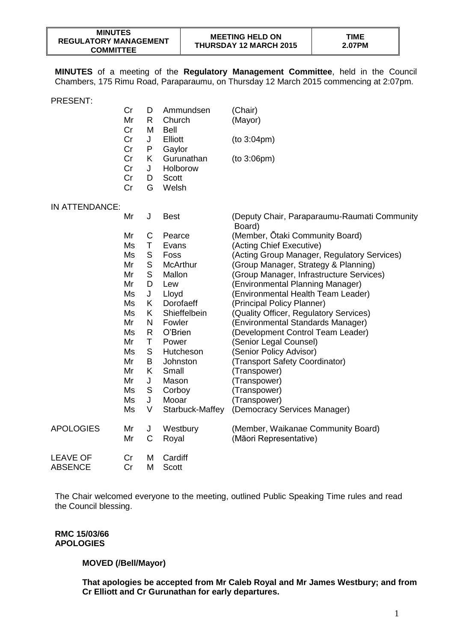**MINUTES** of a meeting of the **Regulatory Management Committee**, held in the Council Chambers, 175 Rimu Road, Paraparaumu, on Thursday 12 March 2015 commencing at 2:07pm.

|                  | Cr<br>Mr<br>Cr       | D<br>R<br>M       | Ammundsen<br>Church<br><b>Bell</b>       | (Chair)<br>(Mayor)                                     |
|------------------|----------------------|-------------------|------------------------------------------|--------------------------------------------------------|
|                  | Cr<br>Cr             | J<br>P            | Elliott<br>Gaylor                        | (to 3:04pm)                                            |
|                  | Cr<br>Cr<br>Cr<br>Cr | K.<br>J<br>D<br>G | Gurunathan<br>Holborow<br>Scott<br>Welsh | (to 3:06pm)                                            |
| IN ATTENDANCE:   |                      |                   |                                          |                                                        |
|                  | Mr                   | J                 | <b>Best</b>                              | (Deputy Chair, Paraparaumu-Raumati Community<br>Board) |
|                  | Mr                   | C                 | Pearce                                   | (Member, Ōtaki Community Board)                        |
|                  | Ms                   | Τ                 | Evans                                    | (Acting Chief Executive)                               |
|                  | Ms                   | S                 | Foss                                     | (Acting Group Manager, Regulatory Services)            |
|                  | Mr                   | S                 | <b>McArthur</b>                          | (Group Manager, Strategy & Planning)                   |
|                  | Mr                   | S                 | Mallon                                   | (Group Manager, Infrastructure Services)               |
|                  | Mr                   | D                 | Lew                                      | (Environmental Planning Manager)                       |
|                  | Ms                   | J                 | Lloyd                                    | (Environmental Health Team Leader)                     |
|                  | Ms                   | K.                | Dorofaeff                                | (Principal Policy Planner)                             |
|                  | Ms                   | K.                | Shieffelbein                             | (Quality Officer, Regulatory Services)                 |
|                  | Mr                   | N                 | Fowler                                   | (Environmental Standards Manager)                      |
|                  | Ms                   | R                 | O'Brien                                  | (Development Control Team Leader)                      |
|                  | Mr                   | T                 | Power                                    | (Senior Legal Counsel)                                 |
|                  | Ms                   | S                 | Hutcheson                                | (Senior Policy Advisor)                                |
|                  | Mr                   | B                 | Johnston                                 | (Transport Safety Coordinator)                         |
|                  | Mr                   | K.                | Small                                    | (Transpower)                                           |
|                  | Mr                   | J                 | Mason                                    | (Transpower)                                           |
|                  | Ms                   | S                 | Corboy                                   | (Transpower)                                           |
|                  | Ms                   | J                 | Mooar                                    | (Transpower)                                           |
|                  | Ms                   | V                 | Starbuck-Maffey                          | (Democracy Services Manager)                           |
| <b>APOLOGIES</b> | Mr                   | J                 | Westbury                                 | (Member, Waikanae Community Board)                     |
|                  | Mr                   | C                 | Royal                                    | (Māori Representative)                                 |

LEAVE OF Cr M Cardiff ABSENCE Cr M Scott

The Chair welcomed everyone to the meeting, outlined Public Speaking Time rules and read the Council blessing.

**RMC 15/03/66 APOLOGIES**

## **MOVED (/Bell/Mayor)**

**That apologies be accepted from Mr Caleb Royal and Mr James Westbury; and from Cr Elliott and Cr Gurunathan for early departures.**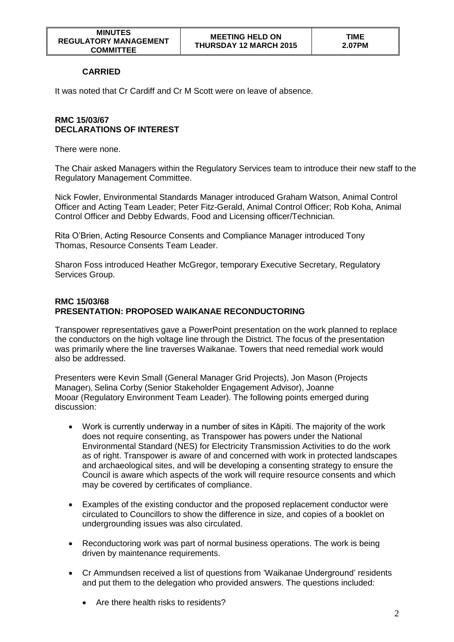## **CARRIED**

It was noted that Cr Cardiff and Cr M Scott were on leave of absence.

## **RMC 15/03/67 DECLARATIONS OF INTEREST**

There were none.

The Chair asked Managers within the Regulatory Services team to introduce their new staff to the Regulatory Management Committee.

Nick Fowler, Environmental Standards Manager introduced Graham Watson, Animal Control Officer and Acting Team Leader; Peter Fitz-Gerald, Animal Control Officer; Rob Koha, Animal Control Officer and Debby Edwards, Food and Licensing officer/Technician.

Rita O'Brien, Acting Resource Consents and Compliance Manager introduced Tony Thomas, Resource Consents Team Leader.

Sharon Foss introduced Heather McGregor, temporary Executive Secretary, Regulatory Services Group.

## **RMC 15/03/68 PRESENTATION: PROPOSED WAIKANAE RECONDUCTORING**

Transpower representatives gave a PowerPoint presentation on the work planned to replace the conductors on the high voltage line through the District. The focus of the presentation was primarily where the line traverses Waikanae. Towers that need remedial work would also be addressed.

Presenters were Kevin Small (General Manager Grid Projects), Jon Mason (Projects Manager), Selina Corby (Senior Stakeholder Engagement Advisor), Joanne Mooar (Regulatory Environment Team Leader). The following points emerged during discussion:

- Work is currently underway in a number of sites in Kāpiti. The majority of the work does not require consenting, as Transpower has powers under the National Environmental Standard (NES) for Electricity Transmission Activities to do the work as of right. Transpower is aware of and concerned with work in protected landscapes and archaeological sites, and will be developing a consenting strategy to ensure the Council is aware which aspects of the work will require resource consents and which may be covered by certificates of compliance.
- Examples of the existing conductor and the proposed replacement conductor were circulated to Councillors to show the difference in size, and copies of a booklet on undergrounding issues was also circulated.
- Reconductoring work was part of normal business operations. The work is being driven by maintenance requirements.
- Cr Ammundsen received a list of questions from 'Waikanae Underground' residents and put them to the delegation who provided answers. The questions included:
	- Are there health risks to residents?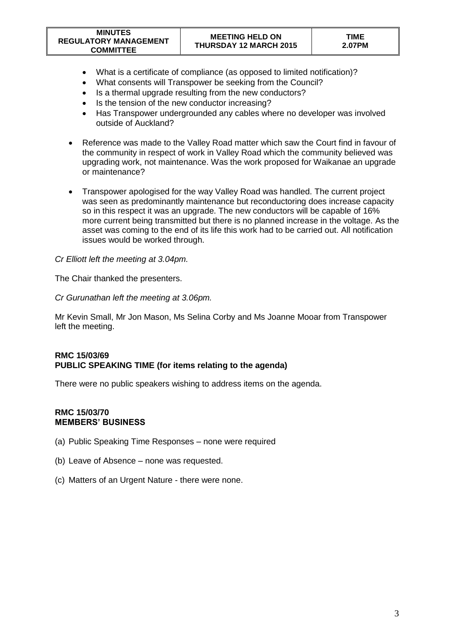| <b>MINUTES</b><br><b>REGULATORY MANAGEMENT</b><br><b>COMMITTEE</b> | <b>MEETING HELD ON</b><br><b>THURSDAY 12 MARCH 2015</b> | <b>TIME</b><br>2.07PM |
|--------------------------------------------------------------------|---------------------------------------------------------|-----------------------|
|--------------------------------------------------------------------|---------------------------------------------------------|-----------------------|

- What is a certificate of compliance (as opposed to limited notification)?
- What consents will Transpower be seeking from the Council?
- Is a thermal upgrade resulting from the new conductors?
- Is the tension of the new conductor increasing?
- Has Transpower undergrounded any cables where no developer was involved outside of Auckland?
- Reference was made to the Valley Road matter which saw the Court find in favour of the community in respect of work in Valley Road which the community believed was upgrading work, not maintenance. Was the work proposed for Waikanae an upgrade or maintenance?
- Transpower apologised for the way Valley Road was handled. The current project was seen as predominantly maintenance but reconductoring does increase capacity so in this respect it was an upgrade. The new conductors will be capable of 16% more current being transmitted but there is no planned increase in the voltage. As the asset was coming to the end of its life this work had to be carried out. All notification issues would be worked through.

### *Cr Elliott left the meeting at 3.04pm.*

The Chair thanked the presenters.

#### *Cr Gurunathan left the meeting at 3.06pm.*

Mr Kevin Small, Mr Jon Mason, Ms Selina Corby and Ms Joanne Mooar from Transpower left the meeting.

## **RMC 15/03/69 PUBLIC SPEAKING TIME (for items relating to the agenda)**

There were no public speakers wishing to address items on the agenda.

### **RMC 15/03/70 MEMBERS' BUSINESS**

- (a) Public Speaking Time Responses none were required
- (b) Leave of Absence none was requested.
- (c) Matters of an Urgent Nature there were none.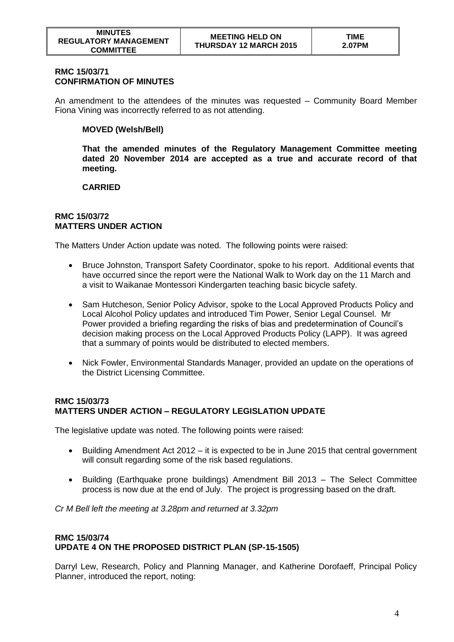### **RMC 15/03/71 CONFIRMATION OF MINUTES**

An amendment to the attendees of the minutes was requested – Community Board Member Fiona Vining was incorrectly referred to as not attending.

## **MOVED (Welsh/Bell)**

**That the amended minutes of the Regulatory Management Committee meeting dated 20 November 2014 are accepted as a true and accurate record of that meeting.** 

## **CARRIED**

#### **RMC 15/03/72 MATTERS UNDER ACTION**

The Matters Under Action update was noted. The following points were raised:

- Bruce Johnston, Transport Safety Coordinator, spoke to his report. Additional events that have occurred since the report were the National Walk to Work day on the 11 March and a visit to Waikanae Montessori Kindergarten teaching basic bicycle safety.
- Sam Hutcheson, Senior Policy Advisor, spoke to the Local Approved Products Policy and Local Alcohol Policy updates and introduced Tim Power, Senior Legal Counsel. Mr Power provided a briefing regarding the risks of bias and predetermination of Council's decision making process on the Local Approved Products Policy (LAPP). It was agreed that a summary of points would be distributed to elected members.
- Nick Fowler, Environmental Standards Manager, provided an update on the operations of the District Licensing Committee.

## **RMC 15/03/73 MATTERS UNDER ACTION – REGULATORY LEGISLATION UPDATE**

The legislative update was noted. The following points were raised:

- Building Amendment Act 2012 it is expected to be in June 2015 that central government will consult regarding some of the risk based regulations.
- Building (Earthquake prone buildings) Amendment Bill 2013 The Select Committee process is now due at the end of July. The project is progressing based on the draft.

*Cr M Bell left the meeting at 3.28pm and returned at 3.32pm*

#### **RMC 15/03/74 UPDATE 4 ON THE PROPOSED DISTRICT PLAN (SP-15-1505)**

Darryl Lew, Research, Policy and Planning Manager, and Katherine Dorofaeff, Principal Policy Planner, introduced the report, noting: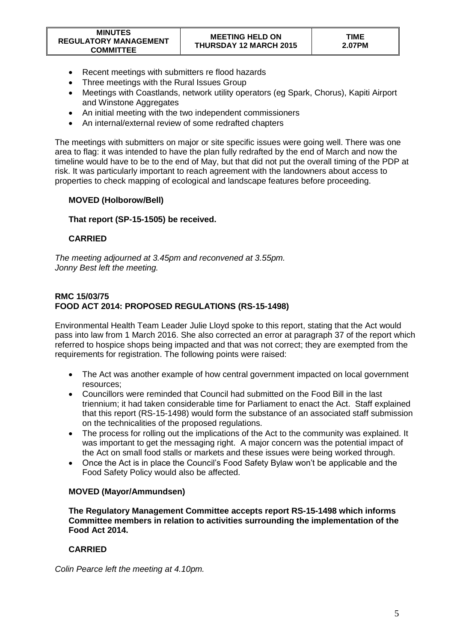- Recent meetings with submitters re flood hazards
- Three meetings with the Rural Issues Group
- Meetings with Coastlands, network utility operators (eg Spark, Chorus), Kapiti Airport and Winstone Aggregates
- An initial meeting with the two independent commissioners
- An internal/external review of some redrafted chapters

The meetings with submitters on major or site specific issues were going well. There was one area to flag: it was intended to have the plan fully redrafted by the end of March and now the timeline would have to be to the end of May, but that did not put the overall timing of the PDP at risk. It was particularly important to reach agreement with the landowners about access to properties to check mapping of ecological and landscape features before proceeding.

# **MOVED (Holborow/Bell)**

## **That report (SP-15-1505) be received.**

## **CARRIED**

*The meeting adjourned at 3.45pm and reconvened at 3.55pm. Jonny Best left the meeting.*

## **RMC 15/03/75 FOOD ACT 2014: PROPOSED REGULATIONS (RS-15-1498)**

Environmental Health Team Leader Julie Lloyd spoke to this report, stating that the Act would pass into law from 1 March 2016. She also corrected an error at paragraph 37 of the report which referred to hospice shops being impacted and that was not correct; they are exempted from the requirements for registration. The following points were raised:

- The Act was another example of how central government impacted on local government resources;
- Councillors were reminded that Council had submitted on the Food Bill in the last triennium; it had taken considerable time for Parliament to enact the Act. Staff explained that this report (RS-15-1498) would form the substance of an associated staff submission on the technicalities of the proposed regulations.
- The process for rolling out the implications of the Act to the community was explained. It was important to get the messaging right. A major concern was the potential impact of the Act on small food stalls or markets and these issues were being worked through.
- Once the Act is in place the Council's Food Safety Bylaw won't be applicable and the Food Safety Policy would also be affected.

# **MOVED (Mayor/Ammundsen)**

**The Regulatory Management Committee accepts report RS-15-1498 which informs Committee members in relation to activities surrounding the implementation of the Food Act 2014.**

# **CARRIED**

*Colin Pearce left the meeting at 4.10pm.*